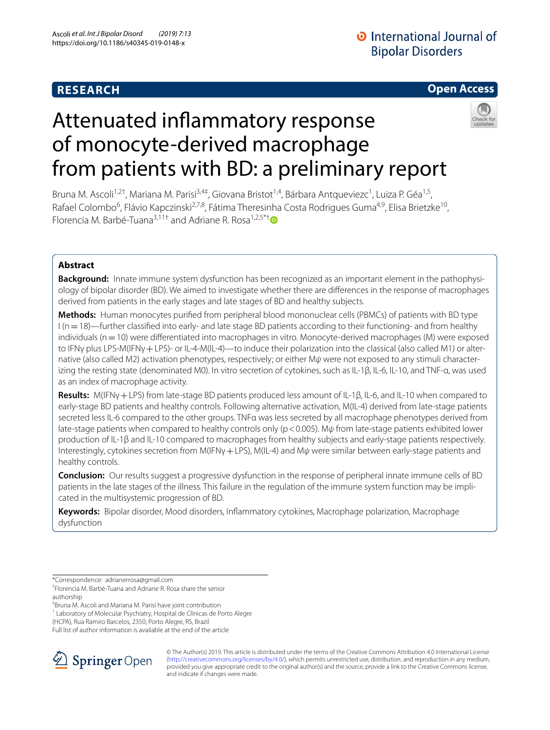# **RESEARCH**

# **Open Access**

# Attenuated infammatory response of monocyte-derived macrophage from patients with BD: a preliminary report



Bruna M. Ascoli<sup>1,2†</sup>, Mariana M. Parisi<sup>3,4‡</sup>, Giovana Bristot<sup>1,4</sup>, Bárbara Antqueviezc<sup>1</sup>, Luiza P. Géa<sup>1,5</sup>, Rafael Colombo<sup>6</sup>, Flávio Kapczinski<sup>2,7,8</sup>, Fátima Theresinha Costa Rodrigues Guma<sup>4,9</sup>, Elisa Brietzke<sup>10</sup>, Florencia M. Barbé-Tuana<sup>3,11†</sup> and Adriane R. Rosa<sup>1,2,5\*†</sup>

# **Abstract**

**Background:** Innate immune system dysfunction has been recognized as an important element in the pathophysiology of bipolar disorder (BD). We aimed to investigate whether there are diferences in the response of macrophages derived from patients in the early stages and late stages of BD and healthy subjects.

**Methods:** Human monocytes purifed from peripheral blood mononuclear cells (PBMCs) of patients with BD type  $I(n=18)$ —further classified into early- and late stage BD patients according to their functioning- and from healthy individuals (n=10) were diferentiated into macrophages in vitro. Monocyte-derived macrophages (M) were exposed to IFNγ plus LPS-M(IFNγ + LPS)- or IL-4-M(IL-4)—to induce their polarization into the classical (also called M1) or alternative (also called M2) activation phenotypes, respectively; or either Mψ were not exposed to any stimuli characterizing the resting state (denominated M0). In vitro secretion of cytokines, such as IL-1β, IL-6, IL-10, and TNF-α, was used as an index of macrophage activity.

**Results:** M(IFNγ+LPS) from late-stage BD patients produced less amount of IL-1β, IL-6, and IL-10 when compared to early-stage BD patients and healthy controls. Following alternative activation, M(IL-4) derived from late-stage patients secreted less IL-6 compared to the other groups. TNFα was less secreted by all macrophage phenotypes derived from late-stage patients when compared to healthy controls only (p<0.005). M*ψ* from late-stage patients exhibited lower production of IL-1β and IL-10 compared to macrophages from healthy subjects and early-stage patients respectively. Interestingly, cytokines secretion from M(IFNγ+LPS), M(IL-4) and M*ψ* were similar between early-stage patients and healthy controls.

**Conclusion:** Our results suggest a progressive dysfunction in the response of peripheral innate immune cells of BD patients in the late stages of the illness. This failure in the regulation of the immune system function may be implicated in the multisystemic progression of BD.

**Keywords:** Bipolar disorder, Mood disorders, Infammatory cytokines, Macrophage polarization, Macrophage dysfunction

(HCPA), Rua Ramiro Barcelos, 2350, Porto Alegre, RS, Brazil

Full list of author information is available at the end of the article



© The Author(s) 2019. This article is distributed under the terms of the Creative Commons Attribution 4.0 International License (http://creativecommons.org/licenses/by/4.0/), which permits unrestricted use, distribution, and reproduction in any medium, provided you give appropriate credit to the original author(s) and the source, provide a link to the Creative Commons license, and indicate if changes were made.

<sup>\*</sup>Correspondence: adrianerrosa@gmail.com

<sup>†</sup> Florencia M. Barbé-Tuana and Adriane R. Rosa share the senior authorship

<sup>‡</sup> Bruna M. Ascoli and Mariana M. Parisi have joint contribution

<sup>&</sup>lt;sup>1</sup> Laboratory of Molecular Psychiatry, Hospital de Clínicas de Porto Alegre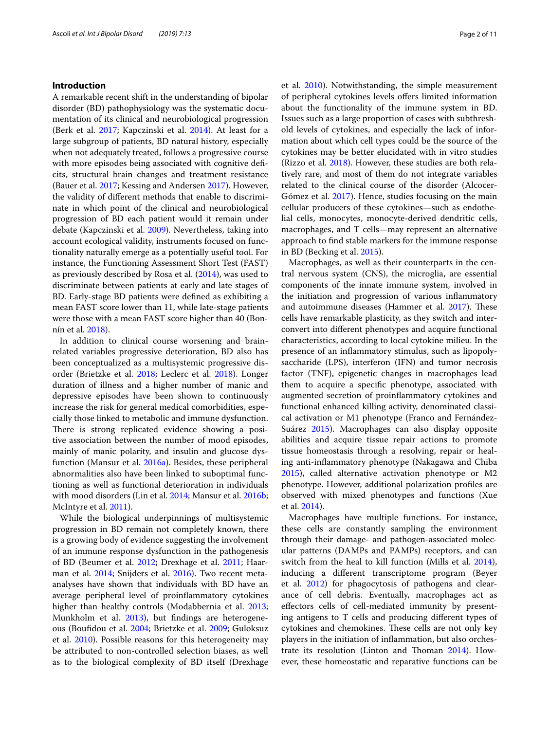# **Introduction**

A remarkable recent shift in the understanding of bipolar disorder (BD) pathophysiology was the systematic documentation of its clinical and neurobiological progression (Berk et al. 2017; Kapczinski et al. 2014). At least for a large subgroup of patients, BD natural history, especially when not adequately treated, follows a progressive course with more episodes being associated with cognitive deficits, structural brain changes and treatment resistance (Bauer et al. 2017; Kessing and Andersen 2017). However, the validity of diferent methods that enable to discriminate in which point of the clinical and neurobiological progression of BD each patient would it remain under debate (Kapczinski et al. 2009). Nevertheless, taking into account ecological validity, instruments focused on functionality naturally emerge as a potentially useful tool. For instance, the Functioning Assessment Short Test (FAST) as previously described by Rosa et al. (2014), was used to discriminate between patients at early and late stages of BD. Early-stage BD patients were defned as exhibiting a mean FAST score lower than 11, while late-stage patients were those with a mean FAST score higher than 40 (Bonnín et al. 2018).

In addition to clinical course worsening and brainrelated variables progressive deterioration, BD also has been conceptualized as a multisystemic progressive disorder (Brietzke et al. 2018; Leclerc et al. 2018). Longer duration of illness and a higher number of manic and depressive episodes have been shown to continuously increase the risk for general medical comorbidities, especially those linked to metabolic and immune dysfunction. There is strong replicated evidence showing a positive association between the number of mood episodes, mainly of manic polarity, and insulin and glucose dysfunction (Mansur et al. 2016a). Besides, these peripheral abnormalities also have been linked to suboptimal functioning as well as functional deterioration in individuals with mood disorders (Lin et al. 2014; Mansur et al. 2016b; McIntyre et al. 2011).

While the biological underpinnings of multisystemic progression in BD remain not completely known, there is a growing body of evidence suggesting the involvement of an immune response dysfunction in the pathogenesis of BD (Beumer et al. 2012; Drexhage et al. 2011; Haarman et al. 2014; Snijders et al. 2016). Two recent metaanalyses have shown that individuals with BD have an average peripheral level of proinfammatory cytokines higher than healthy controls (Modabbernia et al. 2013; Munkholm et al. 2013), but findings are heterogeneous (Boufdou et al. 2004; Brietzke et al. 2009; Guloksuz et al. 2010). Possible reasons for this heterogeneity may be attributed to non-controlled selection biases, as well as to the biological complexity of BD itself (Drexhage et al. 2010). Notwithstanding, the simple measurement of peripheral cytokines levels ofers limited information about the functionality of the immune system in BD. Issues such as a large proportion of cases with subthreshold levels of cytokines, and especially the lack of information about which cell types could be the source of the cytokines may be better elucidated with in vitro studies (Rizzo et al. 2018). However, these studies are both relatively rare, and most of them do not integrate variables related to the clinical course of the disorder (Alcocer-Gómez et al. 2017). Hence, studies focusing on the main cellular producers of these cytokines—such as endothelial cells, monocytes, monocyte-derived dendritic cells, macrophages, and T cells—may represent an alternative approach to fnd stable markers for the immune response in BD (Becking et al. 2015).

Macrophages, as well as their counterparts in the central nervous system (CNS), the microglia, are essential components of the innate immune system, involved in the initiation and progression of various infammatory and autoimmune diseases (Hammer et al. 2017). These cells have remarkable plasticity, as they switch and interconvert into diferent phenotypes and acquire functional characteristics, according to local cytokine milieu. In the presence of an infammatory stimulus, such as lipopolysaccharide (LPS), interferon (IFN) and tumor necrosis factor (TNF), epigenetic changes in macrophages lead them to acquire a specifc phenotype, associated with augmented secretion of proinfammatory cytokines and functional enhanced killing activity, denominated classical activation or M1 phenotype (Franco and Fernández-Suárez 2015). Macrophages can also display opposite abilities and acquire tissue repair actions to promote tissue homeostasis through a resolving, repair or healing anti-infammatory phenotype (Nakagawa and Chiba 2015), called alternative activation phenotype or M2 phenotype. However, additional polarization profles are observed with mixed phenotypes and functions (Xue et al. 2014).

Macrophages have multiple functions. For instance, these cells are constantly sampling the environment through their damage- and pathogen-associated molecular patterns (DAMPs and PAMPs) receptors, and can switch from the heal to kill function (Mills et al. 2014), inducing a diferent transcriptome program (Beyer et al. 2012) for phagocytosis of pathogens and clearance of cell debris. Eventually, macrophages act as efectors cells of cell-mediated immunity by presenting antigens to T cells and producing diferent types of cytokines and chemokines. These cells are not only key players in the initiation of infammation, but also orchestrate its resolution (Linton and Thoman  $2014$ ). However, these homeostatic and reparative functions can be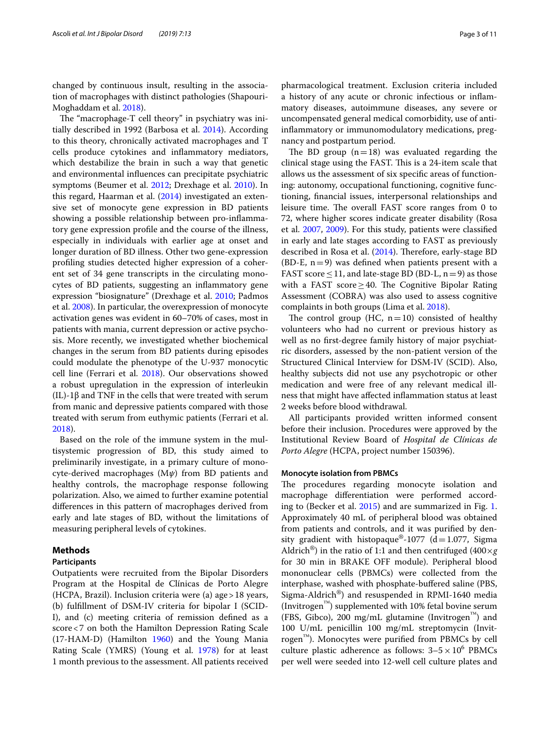changed by continuous insult, resulting in the association of macrophages with distinct pathologies (Shapouri-Moghaddam et al. 2018).

The "macrophage-T cell theory" in psychiatry was initially described in 1992 (Barbosa et al. 2014). According to this theory, chronically activated macrophages and T cells produce cytokines and infammatory mediators, which destabilize the brain in such a way that genetic and environmental infuences can precipitate psychiatric symptoms (Beumer et al. 2012; Drexhage et al. 2010). In this regard, Haarman et al. (2014) investigated an extensive set of monocyte gene expression in BD patients showing a possible relationship between pro-infammatory gene expression profle and the course of the illness, especially in individuals with earlier age at onset and longer duration of BD illness. Other two gene-expression profling studies detected higher expression of a coherent set of 34 gene transcripts in the circulating monocytes of BD patients, suggesting an inflammatory gene expression "biosignature" (Drexhage et al. 2010; Padmos et al. 2008). In particular, the overexpression of monocyte activation genes was evident in 60–70% of cases, most in patients with mania, current depression or active psychosis. More recently, we investigated whether biochemical changes in the serum from BD patients during episodes could modulate the phenotype of the U-937 monocytic cell line (Ferrari et al. 2018). Our observations showed a robust upregulation in the expression of interleukin (IL)-1β and TNF in the cells that were treated with serum from manic and depressive patients compared with those treated with serum from euthymic patients (Ferrari et al. 2018).

Based on the role of the immune system in the multisystemic progression of BD, this study aimed to preliminarily investigate, in a primary culture of monocyte-derived macrophages (M*ψ*) from BD patients and healthy controls, the macrophage response following polarization. Also, we aimed to further examine potential diferences in this pattern of macrophages derived from early and late stages of BD, without the limitations of measuring peripheral levels of cytokines.

# **Methods**

# **Participants**

Outpatients were recruited from the Bipolar Disorders Program at the Hospital de Clínicas de Porto Alegre (HCPA, Brazil). Inclusion criteria were (a) age>18 years, (b) fulfllment of DSM-IV criteria for bipolar I (SCID-I), and (c) meeting criteria of remission defned as a score<7 on both the Hamilton Depression Rating Scale (17-HAM-D) (Hamilton 1960) and the Young Mania Rating Scale (YMRS) (Young et al. 1978) for at least 1 month previous to the assessment. All patients received

pharmacological treatment. Exclusion criteria included a history of any acute or chronic infectious or infammatory diseases, autoimmune diseases, any severe or uncompensated general medical comorbidity, use of antiinfammatory or immunomodulatory medications, pregnancy and postpartum period.

The BD group  $(n=18)$  was evaluated regarding the clinical stage using the FAST. This is a 24-item scale that allows us the assessment of six specifc areas of functioning: autonomy, occupational functioning, cognitive functioning, fnancial issues, interpersonal relationships and leisure time. The overall FAST score ranges from 0 to 72, where higher scores indicate greater disability (Rosa et al. 2007, 2009). For this study, patients were classifed in early and late stages according to FAST as previously described in Rosa et al. (2014). Therefore, early-stage BD  $(BD-E, n=9)$  was defined when patients present with a FAST score  $\leq$  11, and late-stage BD (BD-L, n = 9) as those with a FAST score  $\geq$  40. The Cognitive Bipolar Rating Assessment (COBRA) was also used to assess cognitive complaints in both groups (Lima et al. 2018).

The control group (HC,  $n=10$ ) consisted of healthy volunteers who had no current or previous history as well as no frst-degree family history of major psychiatric disorders, assessed by the non-patient version of the Structured Clinical Interview for DSM-IV (SCID). Also, healthy subjects did not use any psychotropic or other medication and were free of any relevant medical illness that might have afected infammation status at least 2 weeks before blood withdrawal.

All participants provided written informed consent before their inclusion. Procedures were approved by the Institutional Review Board of *Hospital de Clínicas de Porto Alegre* (HCPA, project number 150396).

## **Monocyte isolation from PBMCs**

The procedures regarding monocyte isolation and macrophage diferentiation were performed according to (Becker et al. 2015) and are summarized in Fig. 1. Approximately 40 mL of peripheral blood was obtained from patients and controls, and it was purifed by density gradient with histopaque®-1077 (d=1.077, Sigma Aldrich<sup>®</sup>) in the ratio of 1:1 and then centrifuged (400 $\times$ *g*) for 30 min in BRAKE OFF module). Peripheral blood mononuclear cells (PBMCs) were collected from the interphase, washed with phosphate-buffered saline (PBS, Sigma-Aldrich®) and resuspended in RPMI-1640 media (Invitrogen™) supplemented with 10% fetal bovine serum (FBS, Gibco), 200 mg/mL glutamine (Invitrogen™) and 100 U/mL penicillin 100 mg/mL streptomycin (Invitrogen™). Monocytes were purifed from PBMCs by cell culture plastic adherence as follows:  $3-5 \times 10^6$  PBMCs per well were seeded into 12-well cell culture plates and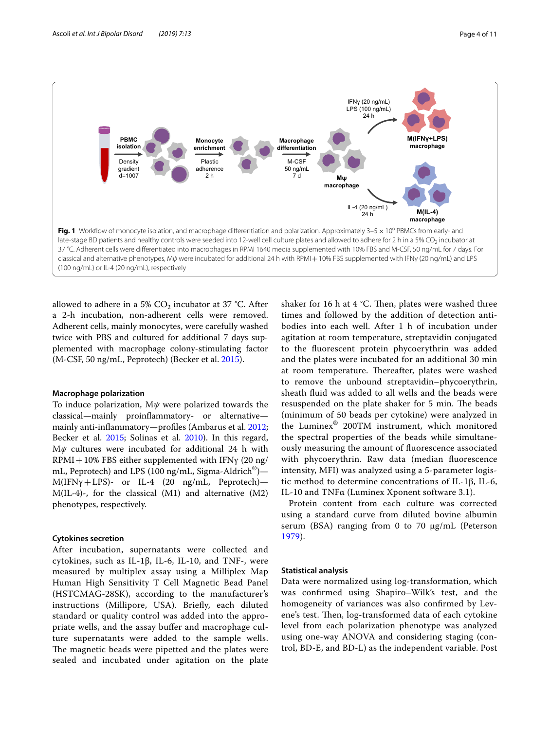

allowed to adhere in a 5%  $CO<sub>2</sub>$  incubator at 37 °C. After a 2-h incubation, non-adherent cells were removed. Adherent cells, mainly monocytes, were carefully washed twice with PBS and cultured for additional 7 days supplemented with macrophage colony-stimulating factor (M-CSF, 50 ng/mL, Peprotech) (Becker et al. 2015).

#### **Macrophage polarization**

To induce polarization, M*ψ* were polarized towards the classical—mainly proinfammatory- or alternative mainly anti-infammatory—profles (Ambarus et al. 2012; Becker et al. 2015; Solinas et al. 2010). In this regard, M*ψ* cultures were incubated for additional 24 h with  $RPMI + 10%$  FBS either supplemented with IFN $\gamma$  (20 ng/ mL, Peprotech) and LPS (100 ng/mL, Sigma-Aldrich®)— M(IFNγ+LPS)- or IL-4 (20 ng/mL, Peprotech)— M(IL-4)-, for the classical (M1) and alternative (M2) phenotypes, respectively.

# **Cytokines secretion**

After incubation, supernatants were collected and cytokines, such as IL-1β, IL-6, IL-10, and TNF-, were measured by multiplex assay using a Milliplex Map Human High Sensitivity T Cell Magnetic Bead Panel (HSTCMAG-28SK), according to the manufacturer's instructions (Millipore, USA). Briefy, each diluted standard or quality control was added into the appropriate wells, and the assay bufer and macrophage culture supernatants were added to the sample wells. The magnetic beads were pipetted and the plates were sealed and incubated under agitation on the plate

shaker for 16 h at 4  $°C$ . Then, plates were washed three times and followed by the addition of detection antibodies into each well. After 1 h of incubation under agitation at room temperature, streptavidin conjugated to the fuorescent protein phycoerythrin was added and the plates were incubated for an additional 30 min at room temperature. Thereafter, plates were washed to remove the unbound streptavidin–phycoerythrin, sheath fuid was added to all wells and the beads were resuspended on the plate shaker for 5 min. The beads (minimum of 50 beads per cytokine) were analyzed in the Luminex® 200TM instrument, which monitored the spectral properties of the beads while simultaneously measuring the amount of fuorescence associated with phycoerythrin. Raw data (median fuorescence intensity, MFI) was analyzed using a 5-parameter logistic method to determine concentrations of IL-1β, IL-6, IL-10 and TNFα (Luminex Xponent software 3.1).

Protein content from each culture was corrected using a standard curve from diluted bovine albumin serum (BSA) ranging from 0 to 70  $\mu$ g/mL (Peterson 1979).

#### **Statistical analysis**

Data were normalized using log-transformation, which was confrmed using Shapiro–Wilk's test, and the homogeneity of variances was also confrmed by Levene's test. Then, log-transformed data of each cytokine level from each polarization phenotype was analyzed using one-way ANOVA and considering staging (control, BD-E, and BD-L) as the independent variable. Post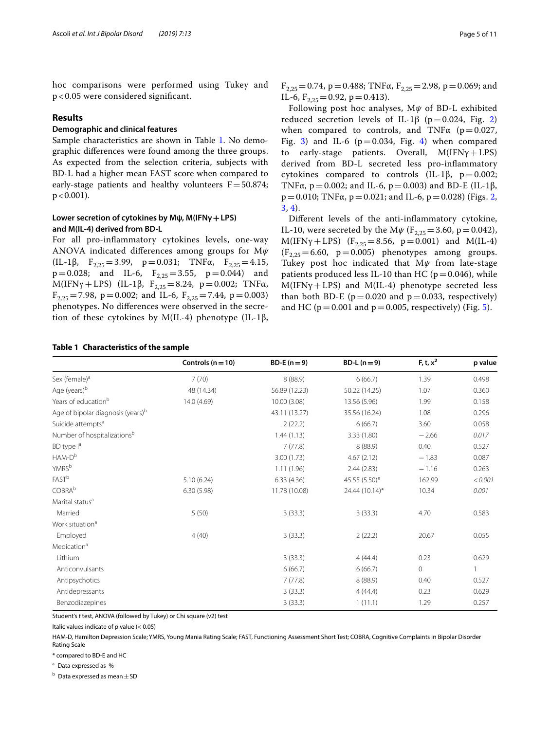hoc comparisons were performed using Tukey and p < 0.05 were considered signifcant.

#### **Results**

# **Demographic and clinical features**

Sample characteristics are shown in Table 1. No demographic diferences were found among the three groups. As expected from the selection criteria, subjects with BD-L had a higher mean FAST score when compared to early-stage patients and healthy volunteers  $F=50.874$ ;  $p < 0.001$ ).

# **Lower secretion of cytokines by Mψ, M(IFNγ+LPS) and M(IL‑4) derived from BD‑L**

For all pro-infammatory cytokines levels, one-way ANOVA indicated diferences among groups for M*ψ* (IL-1 $\beta$ , F<sub>2,25</sub> = 3.99, p = 0.031; TNF $\alpha$ , F<sub>2,25</sub> = 4.15,  $p=0.028$ ; and IL-6,  $F_{2.25}=3.55$ ,  $p=0.044$ ) and M(IFNγ+LPS) (IL-1β, F<sub>2,25</sub> = 8.24, p = 0.002; TNFα,  $F_{2,25}$  = 7.98, p = 0.002; and IL-6,  $F_{2,25}$  = 7.44, p = 0.003) phenotypes. No diferences were observed in the secretion of these cytokines by M(IL-4) phenotype (IL-1 $\beta$ ,  $F_{2,25}=0.74$ , p = 0.488; TNF $\alpha$ ,  $F_{2,25}=2.98$ , p = 0.069; and IL-6,  $F_{2,25} = 0.92$ , p = 0.413).

Following post hoc analyses, M*ψ* of BD-L exhibited reduced secretion levels of IL-1 $\beta$  (p=0.024, Fig. 2) when compared to controls, and TNF $\alpha$  (p=0.027, Fig. 3) and IL-6 ( $p=0.034$ , Fig. 4) when compared to early-stage patients. Overall,  $M(IFNy + LPS)$ derived from BD-L secreted less pro-infammatory cytokines compared to controls (IL-1 $\beta$ , p=0.002; TNFα, p=0.002; and IL-6, p=0.003) and BD-E (IL-1β,  $p=0.010$ ; TNF $\alpha$ ,  $p=0.021$ ; and IL-6,  $p=0.028$ ) (Figs. 2, 3, 4).

Diferent levels of the anti-infammatory cytokine, IL-10, were secreted by the M $\psi$  (F<sub>2,25</sub> = 3.60, p = 0.042), M(IFNy + LPS) ( $F_{2,25}$  = 8.56, p = 0.001) and M(IL-4)  $(F_{2,25}=6.60, p=0.005)$  phenotypes among groups. Tukey post hoc indicated that M*ψ* from late-stage patients produced less IL-10 than HC ( $p=0.046$ ), while  $M(IFNy + LPS)$  and  $M(IL-4)$  phenotype secreted less than both BD-E ( $p=0.020$  and  $p=0.033$ , respectively) and HC ( $p = 0.001$  and  $p = 0.005$ , respectively) (Fig. 5).

|                                               | Controls $(n = 10)$ | $BD-E (n=9)$  | $BD-L (n=9)$   | $F, t, x^2$  | p value |
|-----------------------------------------------|---------------------|---------------|----------------|--------------|---------|
| Sex (female) <sup>a</sup>                     | 7(70)               | 8(88.9)       | 6(66.7)        | 1.39         | 0.498   |
| Age (years) <sup>b</sup>                      | 48 (14.34)          | 56.89 (12.23) | 50.22 (14.25)  | 1.07         | 0.360   |
| Years of education <sup>b</sup>               | 14.0 (4.69)         | 10.00 (3.08)  | 13.56 (5.96)   | 1.99         | 0.158   |
| Age of bipolar diagnosis (years) <sup>b</sup> |                     | 43.11 (13.27) | 35.56 (16.24)  | 1.08         | 0.296   |
| Suicide attempts <sup>a</sup>                 |                     | 2(22.2)       | 6(66.7)        | 3.60         | 0.058   |
| Number of hospitalizations <sup>b</sup>       |                     | 1.44(1.13)    | 3.33 (1.80)    | $-2.66$      | 0.017   |
| BD type l <sup>a</sup>                        |                     | 7(77.8)       | 8(88.9)        | 0.40         | 0.527   |
| $HAM-D^b$                                     |                     | 3.00(1.73)    | 4.67(2.12)     | $-1.83$      | 0.087   |
| <b>YMRS</b> b                                 |                     | 1.11(1.96)    | 2.44(2.83)     | $-1.16$      | 0.263   |
| FAST <sup>b</sup>                             | 5.10(6.24)          | 6.33(4.36)    | 45.55 (5.50)*  | 162.99       | < 0.001 |
| COBRA <sup>b</sup>                            | 6.30(5.98)          | 11.78 (10.08) | 24.44 (10.14)* | 10.34        | 0.001   |
| Marital status <sup>a</sup>                   |                     |               |                |              |         |
| Married                                       | 5(50)               | 3(33.3)       | 3(33.3)        | 4.70         | 0.583   |
| Work situation <sup>a</sup>                   |                     |               |                |              |         |
| Employed                                      | 4(40)               | 3(33.3)       | 2(22.2)        | 20.67        | 0.055   |
| Medication <sup>a</sup>                       |                     |               |                |              |         |
| Lithium                                       |                     | 3(33.3)       | 4(44.4)        | 0.23         | 0.629   |
| Anticonvulsants                               |                     | 6(66.7)       | 6(66.7)        | $\mathbf{0}$ |         |
| Antipsychotics                                |                     | 7(77.8)       | 8(88.9)        | 0.40         | 0.527   |
| Antidepressants                               |                     | 3(33.3)       | 4(44.4)        | 0.23         | 0.629   |
| Benzodiazepines                               |                     | 3(33.3)       | 1(11.1)        | 1.29         | 0.257   |

#### **Table 1 Characteristics of the sample**

Student's *t* test, ANOVA (followed by Tukey) or Chi square (v2) test

Italic values indicate of p value  $(< 0.05)$ 

HAM-D, Hamilton Depression Scale; YMRS, Young Mania Rating Scale; FAST, Functioning Assessment Short Test; COBRA, Cognitive Complaints in Bipolar Disorder Rating Scale

\* compared to BD-E and HC

<sup>a</sup> Data expressed as %

 $<sup>b</sup>$  Data expressed as mean  $\pm$  SD</sup>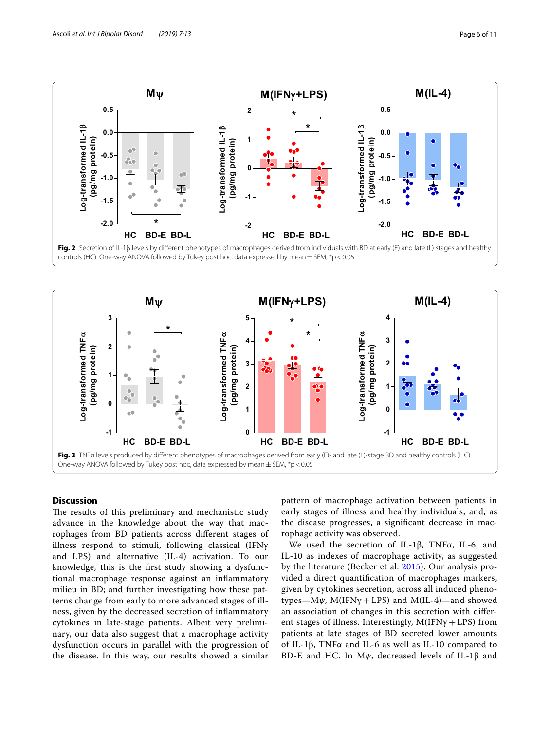



# **Discussion**

The results of this preliminary and mechanistic study advance in the knowledge about the way that macrophages from BD patients across diferent stages of illness respond to stimuli, following classical (IFNγ and LPS) and alternative (IL-4) activation. To our knowledge, this is the frst study showing a dysfunctional macrophage response against an infammatory milieu in BD; and further investigating how these patterns change from early to more advanced stages of illness, given by the decreased secretion of infammatory cytokines in late-stage patients. Albeit very preliminary, our data also suggest that a macrophage activity dysfunction occurs in parallel with the progression of the disease. In this way, our results showed a similar pattern of macrophage activation between patients in early stages of illness and healthy individuals, and, as the disease progresses, a signifcant decrease in macrophage activity was observed.

We used the secretion of IL-1β, TNFα, IL-6, and IL-10 as indexes of macrophage activity, as suggested by the literature (Becker et al. 2015). Our analysis provided a direct quantifcation of macrophages markers, given by cytokines secretion, across all induced phenotypes—M $\psi$ , M(IFN $\gamma$ +LPS) and M(IL-4)—and showed an association of changes in this secretion with diferent stages of illness. Interestingly,  $M(IFN\gamma + LPS)$  from patients at late stages of BD secreted lower amounts of IL-1β, TNFα and IL-6 as well as IL-10 compared to BD-E and HC. In M*ψ*, decreased levels of IL-1β and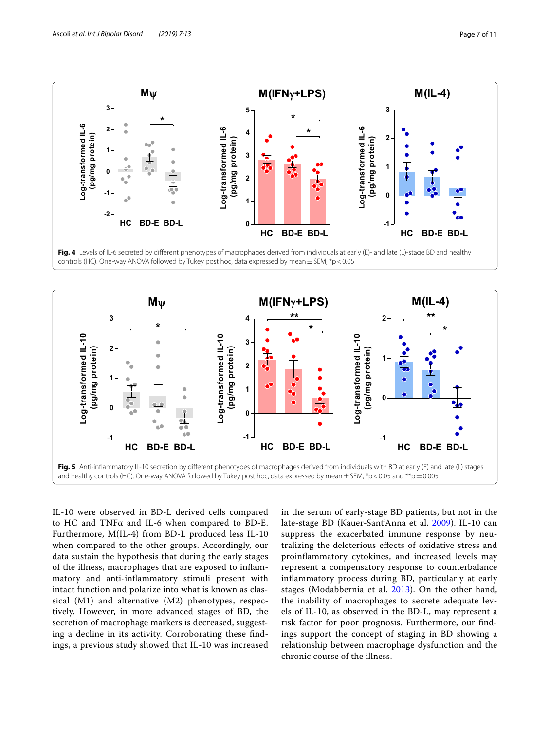



IL-10 were observed in BD-L derived cells compared to HC and TNFα and IL-6 when compared to BD-E. Furthermore, M(IL-4) from BD-L produced less IL-10 when compared to the other groups. Accordingly, our data sustain the hypothesis that during the early stages of the illness, macrophages that are exposed to infammatory and anti-infammatory stimuli present with intact function and polarize into what is known as classical (M1) and alternative (M2) phenotypes, respectively. However, in more advanced stages of BD, the secretion of macrophage markers is decreased, suggesting a decline in its activity. Corroborating these fndings, a previous study showed that IL-10 was increased in the serum of early-stage BD patients, but not in the late-stage BD (Kauer-Sant'Anna et al. 2009). IL-10 can suppress the exacerbated immune response by neutralizing the deleterious efects of oxidative stress and proinfammatory cytokines, and increased levels may represent a compensatory response to counterbalance infammatory process during BD, particularly at early stages (Modabbernia et al. 2013). On the other hand, the inability of macrophages to secrete adequate levels of IL-10, as observed in the BD-L, may represent a risk factor for poor prognosis. Furthermore, our fndings support the concept of staging in BD showing a relationship between macrophage dysfunction and the chronic course of the illness.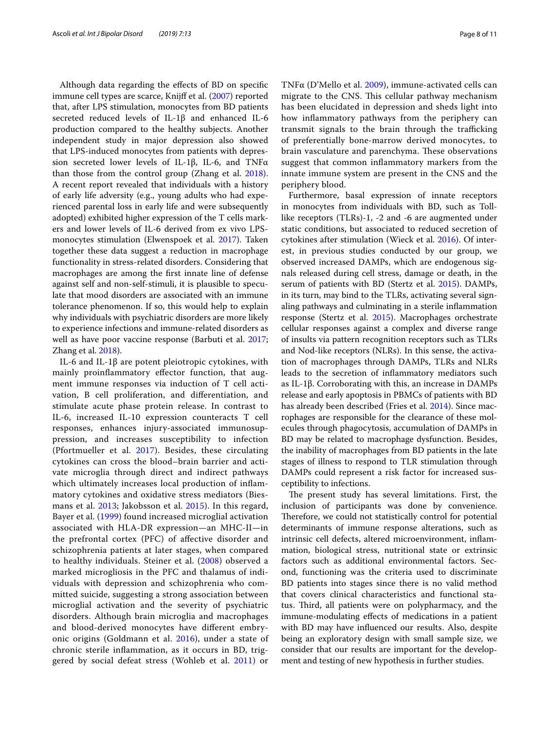Although data regarding the efects of BD on specifc immune cell types are scarce, Knijf et al. (2007) reported that, after LPS stimulation, monocytes from BD patients secreted reduced levels of IL-1β and enhanced IL-6 production compared to the healthy subjects. Another independent study in major depression also showed that LPS-induced monocytes from patients with depression secreted lower levels of IL-1β, IL-6, and TNFα than those from the control group (Zhang et al. 2018). A recent report revealed that individuals with a history of early life adversity (e.g., young adults who had experienced parental loss in early life and were subsequently adopted) exhibited higher expression of the T cells markers and lower levels of IL-6 derived from ex vivo LPSmonocytes stimulation (Elwenspoek et al. 2017). Taken together these data suggest a reduction in macrophage functionality in stress-related disorders. Considering that macrophages are among the frst innate line of defense against self and non-self-stimuli, it is plausible to speculate that mood disorders are associated with an immune tolerance phenomenon. If so, this would help to explain why individuals with psychiatric disorders are more likely to experience infections and immune-related disorders as well as have poor vaccine response (Barbuti et al. 2017; Zhang et al. 2018).

IL-6 and IL-1β are potent pleiotropic cytokines, with mainly proinfammatory efector function, that augment immune responses via induction of T cell activation, B cell proliferation, and diferentiation, and stimulate acute phase protein release. In contrast to IL-6, increased IL-10 expression counteracts T cell responses, enhances injury-associated immunosuppression, and increases susceptibility to infection (Pfortmueller et al. 2017). Besides, these circulating cytokines can cross the blood–brain barrier and activate microglia through direct and indirect pathways which ultimately increases local production of infammatory cytokines and oxidative stress mediators (Biesmans et al. 2013; Jakobsson et al. 2015). In this regard, Bayer et al. (1999) found increased microglial activation associated with HLA-DR expression—an MHC-II—in the prefrontal cortex (PFC) of afective disorder and schizophrenia patients at later stages, when compared to healthy individuals. Steiner et al. (2008) observed a marked microgliosis in the PFC and thalamus of individuals with depression and schizophrenia who committed suicide, suggesting a strong association between microglial activation and the severity of psychiatric disorders. Although brain microglia and macrophages and blood-derived monocytes have diferent embryonic origins (Goldmann et al. 2016), under a state of chronic sterile infammation, as it occurs in BD, triggered by social defeat stress (Wohleb et al. 2011) or TNFα (D'Mello et al. 2009), immune-activated cells can migrate to the CNS. This cellular pathway mechanism has been elucidated in depression and sheds light into how infammatory pathways from the periphery can transmit signals to the brain through the trafficking of preferentially bone-marrow derived monocytes, to brain vasculature and parenchyma. These observations suggest that common infammatory markers from the innate immune system are present in the CNS and the periphery blood.

Furthermore, basal expression of innate receptors in monocytes from individuals with BD, such as Tolllike receptors (TLRs)-1, -2 and -6 are augmented under static conditions, but associated to reduced secretion of cytokines after stimulation (Wieck et al. 2016). Of interest, in previous studies conducted by our group, we observed increased DAMPs, which are endogenous signals released during cell stress, damage or death, in the serum of patients with BD (Stertz et al. 2015). DAMPs, in its turn, may bind to the TLRs, activating several signaling pathways and culminating in a sterile infammation response (Stertz et al. 2015). Macrophages orchestrate cellular responses against a complex and diverse range of insults via pattern recognition receptors such as TLRs and Nod-like receptors (NLRs). In this sense, the activation of macrophages through DAMPs, TLRs and NLRs leads to the secretion of infammatory mediators such as IL-1β. Corroborating with this, an increase in DAMPs release and early apoptosis in PBMCs of patients with BD has already been described (Fries et al. 2014). Since macrophages are responsible for the clearance of these molecules through phagocytosis, accumulation of DAMPs in BD may be related to macrophage dysfunction. Besides, the inability of macrophages from BD patients in the late stages of illness to respond to TLR stimulation through DAMPs could represent a risk factor for increased susceptibility to infections.

The present study has several limitations. First, the inclusion of participants was done by convenience. Therefore, we could not statistically control for potential determinants of immune response alterations, such as intrinsic cell defects, altered microenvironment, infammation, biological stress, nutritional state or extrinsic factors such as additional environmental factors. Second, functioning was the criteria used to discriminate BD patients into stages since there is no valid method that covers clinical characteristics and functional status. Third, all patients were on polypharmacy, and the immune-modulating efects of medications in a patient with BD may have infuenced our results. Also, despite being an exploratory design with small sample size, we consider that our results are important for the development and testing of new hypothesis in further studies.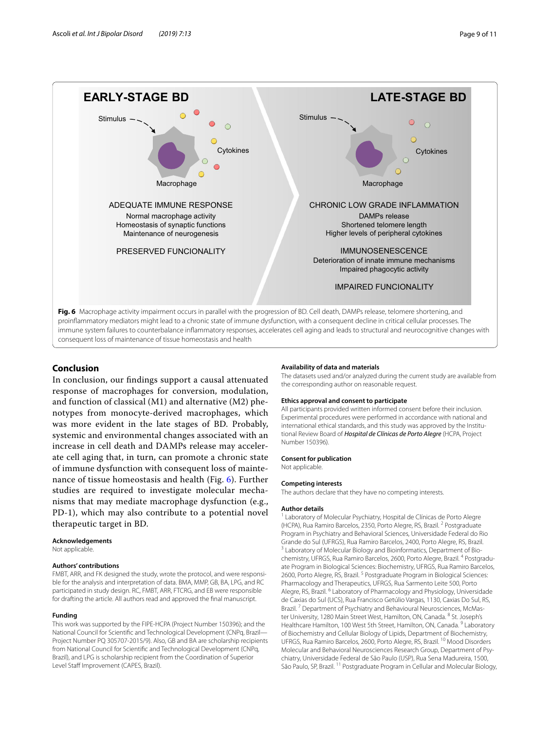

# **Conclusion**

In conclusion, our fndings support a causal attenuated response of macrophages for conversion, modulation, and function of classical (M1) and alternative (M2) phenotypes from monocyte-derived macrophages, which was more evident in the late stages of BD. Probably, systemic and environmental changes associated with an increase in cell death and DAMPs release may accelerate cell aging that, in turn, can promote a chronic state of immune dysfunction with consequent loss of maintenance of tissue homeostasis and health (Fig. 6). Further studies are required to investigate molecular mechanisms that may mediate macrophage dysfunction (e.g., PD-1), which may also contribute to a potential novel therapeutic target in BD.

### **Acknowledgements**

Not applicable.

#### **Authors' contributions**

FMBT, ARR, and FK designed the study, wrote the protocol, and were responsible for the analysis and interpretation of data. BMA, MMP, GB, BA, LPG, and RC participated in study design. RC, FMBT, ARR, FTCRG, and EB were responsible for drafting the article. All authors read and approved the fnal manuscript.

#### **Funding**

This work was supported by the FIPE-HCPA (Project Number 150396); and the National Council for Scientifc and Technological Development (CNPq, Brazil— Project Number PQ 305707-2015/9). Also, GB and BA are scholarship recipients from National Council for Scientifc and Technological Development (CNPq, Brazil), and LPG is scholarship recipient from the Coordination of Superior Level Staff Improvement (CAPES, Brazil).

#### **Availability of data and materials**

The datasets used and/or analyzed during the current study are available from the corresponding author on reasonable request.

## **Ethics approval and consent to participate**

All participants provided written informed consent before their inclusion. Experimental procedures were performed in accordance with national and international ethical standards, and this study was approved by the Institutional Review Board of *Hospital de Clínicas de Porto Alegre* (HCPA, Project Number 150396).

#### **Consent for publication** Not applicable.

**Competing interests**

The authors declare that they have no competing interests.

## **Author details**

<sup>1</sup> Laboratory of Molecular Psychiatry, Hospital de Clínicas de Porto Alegre (HCPA), Rua Ramiro Barcelos, 2350, Porto Alegre, RS, Brazil.<sup>2</sup> Postgraduate Program in Psychiatry and Behavioral Sciences, Universidade Federal do Rio Grande do Sul (UFRGS), Rua Ramiro Barcelos, 2400, Porto Alegre, RS, Brazil.<br><sup>3</sup> Laboratory of Molecular Biology and Bioinformatics, Department of Biochemistry, UFRGS, Rua Ramiro Barcelos, 2600, Porto Alegre, Brazil.<sup>4</sup> Postgraduate Program in Biological Sciences: Biochemistry, UFRGS, Rua Ramiro Barcelos, 2600, Porto Alegre, RS, Brazil. 5 Postgraduate Program in Biological Sciences: Pharmacology and Therapeutics, UFRGS, Rua Sarmento Leite 500, Porto Alegre, RS, Brazil. 6 Laboratory of Pharmacology and Physiology, Universidade de Caxias do Sul (UCS), Rua Francisco Getúlio Vargas, 1130, Caxias Do Sul, RS, Brazil.<sup>7</sup> Department of Psychiatry and Behavioural Neurosciences, McMaster University, 1280 Main Street West, Hamilton, ON, Canada. <sup>8</sup> St. Joseph's Healthcare Hamilton, 100 West 5th Street, Hamilton, ON, Canada. <sup>9</sup> Laboratory of Biochemistry and Cellular Biology of Lipids, Department of Biochemistry, UFRGS, Rua Ramiro Barcelos, 2600, Porto Alegre, RS, Brazil. 10 Mood Disorders Molecular and Behavioral Neurosciences Research Group, Department of Psychiatry, Universidade Federal de São Paulo (USP), Rua Sena Madureira, 1500, São Paulo, SP, Brazil. <sup>11</sup> Postgraduate Program in Cellular and Molecular Biology,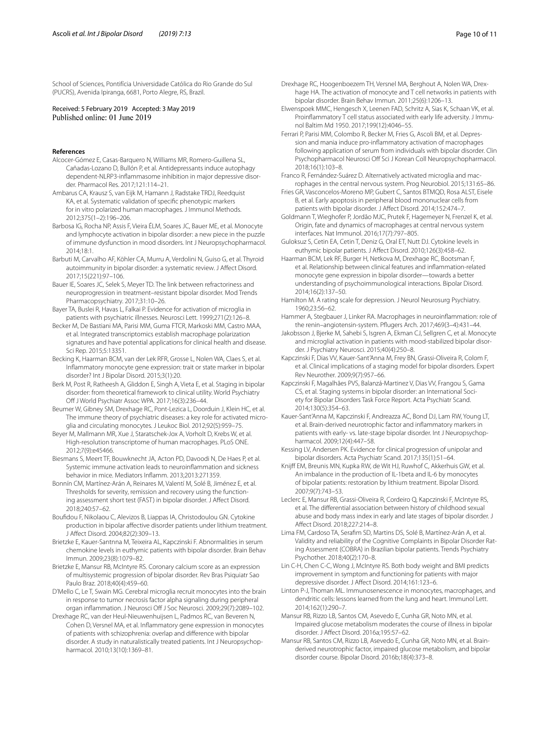School of Sciences, Pontifícia Universidade Católica do Rio Grande do Sul (PUCRS), Avenida Ipiranga, 6681, Porto Alegre, RS, Brazil.

# Received: 5 February 2019 Accepted: 3 May 2019

#### **References**

- Alcocer-Gómez E, Casas-Barquero N, Williams MR, Romero-Guillena SL, Cañadas-Lozano D, Bullón P, et al. Antidepressants induce autophagy dependent-NLRP3-inflammasome inhibition in major depressive disorder. Pharmacol Res. 2017;121:114–21.
- Ambarus CA, Krausz S, van Eijk M, Hamann J, Radstake TRDJ, Reedquist KA, et al. Systematic validation of specifc phenotypic markers for in vitro polarized human macrophages. J Immunol Methods. 2012;375(1–2):196–206.
- Barbosa IG, Rocha NP, Assis F, Vieira ÉLM, Soares JC, Bauer ME, et al. Monocyte and lymphocyte activation in bipolar disorder: a new piece in the puzzle of immune dysfunction in mood disorders. Int J Neuropsychopharmacol. 2014;18:1.
- Barbuti M, Carvalho AF, Köhler CA, Murru A, Verdolini N, Guiso G, et al. Thyroid autoimmunity in bipolar disorder: a systematic review. J Afect Disord. 2017;15(221):97–106.
- Bauer IE, Soares JC, Selek S, Meyer TD. The link between refractoriness and neuroprogression in treatment–resistant bipolar disorder. Mod Trends Pharmacopsychiatry. 2017;31:10–26.
- Bayer TA, Buslei R, Havas L, Falkai P. Evidence for activation of microglia in patients with psychiatric illnesses. Neurosci Lett. 1999;271(2):126–8.
- Becker M, De Bastiani MA, Parisi MM, Guma FTCR, Markoski MM, Castro MAA, et al. Integrated transcriptomics establish macrophage polarization signatures and have potential applications for clinical health and disease. Sci Rep. 2015;5:13351.
- Becking K, Haarman BCM, van der Lek RFR, Grosse L, Nolen WA, Claes S, et al. Infammatory monocyte gene expression: trait or state marker in bipolar disorder? Int J Bipolar Disord. 2015;3(1):20.
- Berk M, Post R, Ratheesh A, Gliddon E, Singh A, Vieta E, et al. Staging in bipolar disorder: from theoretical framework to clinical utility. World Psychiatry Off J World Psychiatr Assoc WPA. 2017;16(3):236-44.
- Beumer W, Gibney SM, Drexhage RC, Pont-Lezica L, Doorduin J, Klein HC, et al. The immune theory of psychiatric diseases: a key role for activated microglia and circulating monocytes. J Leukoc Biol. 2012;92(5):959–75.
- Beyer M, Mallmann MR, Xue J, Staratschek-Jox A, Vorholt D, Krebs W, et al. High-resolution transcriptome of human macrophages. PLoS ONE. 2012;7(9):e45466.
- Biesmans S, Meert TF, Bouwknecht JA, Acton PD, Davoodi N, De Haes P, et al. Systemic immune activation leads to neuroinfammation and sickness behavior in mice. Mediators Infamm. 2013;2013:271359.
- Bonnín CM, Martínez-Arán A, Reinares M, Valentí M, Solé B, Jiménez E, et al. Thresholds for severity, remission and recovery using the functioning assessment short test (FAST) in bipolar disorder. J Afect Disord. 2018;240:57–62.
- Boufdou F, Nikolaou C, Alevizos B, Liappas IA, Christodoulou GN. Cytokine production in bipolar afective disorder patients under lithium treatment. J Afect Disord. 2004;82(2):309–13.
- Brietzke E, Kauer-Santnna M, Teixeira AL, Kapczinski F. Abnormalities in serum chemokine levels in euthymic patients with bipolar disorder. Brain Behav Immun. 2009;23(8):1079–82.
- Brietzke E, Mansur RB, McIntyre RS. Coronary calcium score as an expression of multisystemic progression of bipolar disorder. Rev Bras Psiquiatr Sao Paulo Braz. 2018;40(4):459–60.
- D'Mello C, Le T, Swain MG. Cerebral microglia recruit monocytes into the brain in response to tumor necrosis factor alpha signaling during peripheral organ infammation. J Neurosci Of J Soc Neurosci. 2009;29(7):2089–102.
- Drexhage RC, van der Heul-Nieuwenhuijsen L, Padmos RC, van Beveren N, Cohen D, Versnel MA, et al. Infammatory gene expression in monocytes of patients with schizophrenia: overlap and diference with bipolar disorder. A study in naturalistically treated patients. Int J Neuropsychopharmacol. 2010;13(10):1369–81.
- Drexhage RC, Hoogenboezem TH, Versnel MA, Berghout A, Nolen WA, Drexhage HA. The activation of monocyte and T cell networks in patients with bipolar disorder. Brain Behav Immun. 2011;25(6):1206–13.
- Elwenspoek MMC, Hengesch X, Leenen FAD, Schritz A, Sias K, Schaan VK, et al. Proinflammatory T cell status associated with early life adversity. J Immunol Baltim Md 1950. 2017;199(12):4046–55.
- Ferrari P, Parisi MM, Colombo R, Becker M, Fries G, Ascoli BM, et al. Depression and mania induce pro-infammatory activation of macrophages following application of serum from individuals with bipolar disorder. Clin Psychopharmacol Neurosci Off Sci J Korean Coll Neuropsychopharmacol. 2018;16(1):103–8.
- Franco R, Fernández-Suárez D. Alternatively activated microglia and mac‑ rophages in the central nervous system. Prog Neurobiol. 2015;131:65–86.
- Fries GR, Vasconcelos-Moreno MP, Gubert C, Santos BTMQD, Rosa ALST, Eisele B, et al. Early apoptosis in peripheral blood mononuclear cells from patients with bipolar disorder. J Afect Disord. 2014;152:474–7.
- Goldmann T, Wieghofer P, Jordão MJC, Prutek F, Hagemeyer N, Frenzel K, et al. Origin, fate and dynamics of macrophages at central nervous system interfaces. Nat Immunol. 2016;17(7):797–805.
- Guloksuz S, Cetin EA, Cetin T, Deniz G, Oral ET, Nutt DJ. Cytokine levels in euthymic bipolar patients. J Afect Disord. 2010;126(3):458–62.
- Haarman BCM, Lek RF, Burger H, Netkova M, Drexhage RC, Bootsman F, et al. Relationship between clinical features and infammation-related monocyte gene expression in bipolar disorder—towards a better understanding of psychoimmunological interactions. Bipolar Disord. 2014;16(2):137–50.
- Hamilton M. A rating scale for depression. J Neurol Neurosurg Psychiatry. 1960;23:56–62.
- Hammer A, Stegbauer J, Linker RA. Macrophages in neuroinfammation: role of the renin–angiotensin-system. Pfugers Arch. 2017;469(3–4):431–44.
- Jakobsson J, Bjerke M, Sahebi S, Isgren A, Ekman CJ, Sellgren C, et al. Monocyte and microglial activation in patients with mood-stabilized bipolar disorder. J Psychiatry Neurosci. 2015;40(4):250–8.
- Kapczinski F, Dias VV, Kauer-Sant'Anna M, Frey BN, Grassi-Oliveira R, Colom F, et al. Clinical implications of a staging model for bipolar disorders. Expert Rev Neurother. 2009;9(7):957–66.
- Kapczinski F, Magalhães PVS, Balanzá-Martinez V, Dias VV, Frangou S, Gama CS, et al. Staging systems in bipolar disorder: an International Society for Bipolar Disorders Task Force Report. Acta Psychiatr Scand. 2014;130(5):354–63.
- Kauer-Sant'Anna M, Kapczinski F, Andreazza AC, Bond DJ, Lam RW, Young LT, et al. Brain-derived neurotrophic factor and infammatory markers in patients with early- vs. late-stage bipolar disorder. Int J Neuropsychopharmacol. 2009;12(4):447–58.
- Kessing LV, Andersen PK. Evidence for clinical progression of unipolar and bipolar disorders. Acta Psychiatr Scand. 2017;135(1):51–64.
- Knijff EM, Breunis MN, Kupka RW, de Wit HJ, Ruwhof C, Akkerhuis GW, et al. An imbalance in the production of IL-1beta and IL-6 by monocytes of bipolar patients: restoration by lithium treatment. Bipolar Disord. 2007;9(7):743–53.
- Leclerc E, Mansur RB, Grassi-Oliveira R, Cordeiro Q, Kapczinski F, McIntyre RS, et al. The diferential association between history of childhood sexual abuse and body mass index in early and late stages of bipolar disorder. J Afect Disord. 2018;227:214–8.
- Lima FM, Cardoso TA, Serafm SD, Martins DS, Solé B, Martínez-Arán A, et al. Validity and reliability of the Cognitive Complaints in Bipolar Disorder Rat‑ ing Assessment (COBRA) in Brazilian bipolar patients. Trends Psychiatry Psychother. 2018;40(2):170–8.
- Lin C-H, Chen C-C, Wong J, McIntyre RS. Both body weight and BMI predicts improvement in symptom and functioning for patients with major depressive disorder. J Afect Disord. 2014;161:123–6.
- Linton P-J, Thoman ML. Immunosenescence in monocytes, macrophages, and dendritic cells: lessons learned from the lung and heart. Immunol Lett. 2014;162(1):290–7.
- Mansur RB, Rizzo LB, Santos CM, Asevedo E, Cunha GR, Noto MN, et al. Impaired glucose metabolism moderates the course of illness in bipolar disorder. J Afect Disord. 2016a;195:57–62.
- Mansur RB, Santos CM, Rizzo LB, Asevedo E, Cunha GR, Noto MN, et al. Brainderived neurotrophic factor, impaired glucose metabolism, and bipolar disorder course. Bipolar Disord. 2016b;18(4):373–8.